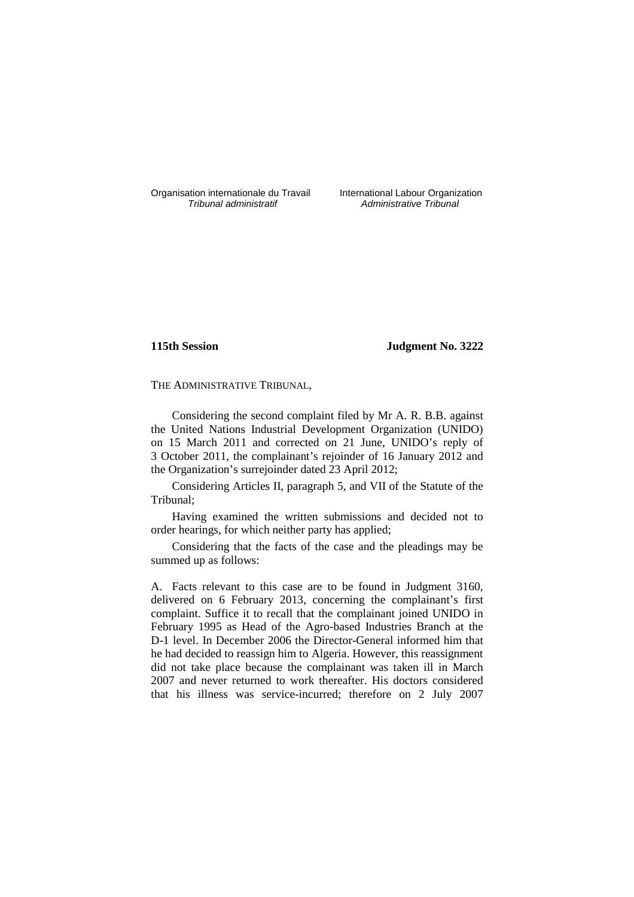Organisation internationale du Travail International Labour Organization<br>*Tribunal administratif Administrative Tribunal* 

Administrative Tribunal

## **115th Session Judgment No. 3222**

THE ADMINISTRATIVE TRIBUNAL,

Considering the second complaint filed by Mr A. R. B.B. against the United Nations Industrial Development Organization (UNIDO) on 15 March 2011 and corrected on 21 June, UNIDO's reply of 3 October 2011, the complainant's rejoinder of 16 January 2012 and the Organization's surrejoinder dated 23 April 2012;

Considering Articles II, paragraph 5, and VII of the Statute of the Tribunal;

Having examined the written submissions and decided not to order hearings, for which neither party has applied;

Considering that the facts of the case and the pleadings may be summed up as follows:

A. Facts relevant to this case are to be found in Judgment 3160, delivered on 6 February 2013, concerning the complainant's first complaint. Suffice it to recall that the complainant joined UNIDO in February 1995 as Head of the Agro-based Industries Branch at the D-1 level. In December 2006 the Director-General informed him that he had decided to reassign him to Algeria. However, this reassignment did not take place because the complainant was taken ill in March 2007 and never returned to work thereafter. His doctors considered that his illness was service-incurred; therefore on 2 July 2007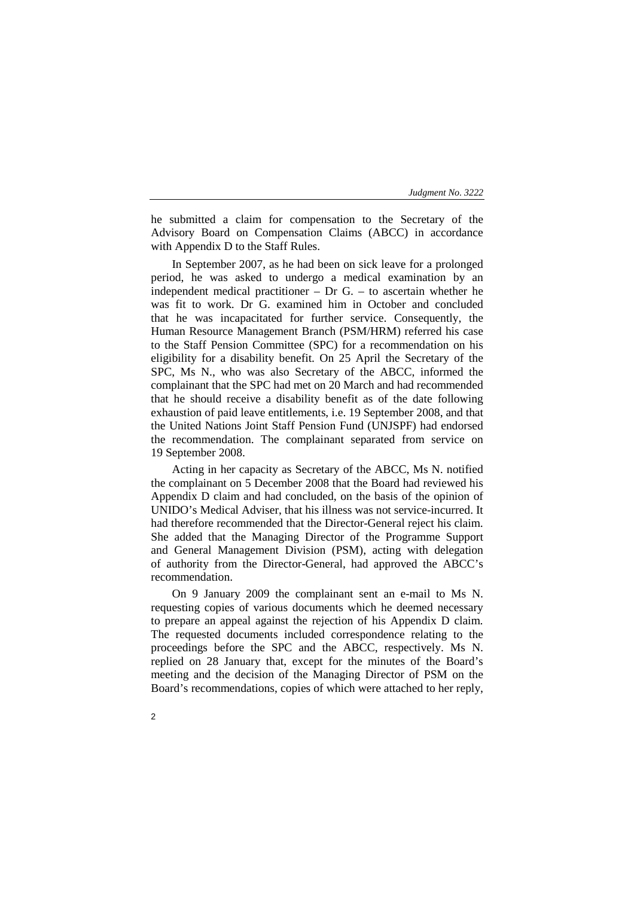he submitted a claim for compensation to the Secretary of the Advisory Board on Compensation Claims (ABCC) in accordance with Appendix D to the Staff Rules.

In September 2007, as he had been on sick leave for a prolonged period, he was asked to undergo a medical examination by an independent medical practitioner – Dr G. – to ascertain whether he was fit to work. Dr G. examined him in October and concluded that he was incapacitated for further service. Consequently, the Human Resource Management Branch (PSM/HRM) referred his case to the Staff Pension Committee (SPC) for a recommendation on his eligibility for a disability benefit. On 25 April the Secretary of the SPC, Ms N., who was also Secretary of the ABCC, informed the complainant that the SPC had met on 20 March and had recommended that he should receive a disability benefit as of the date following exhaustion of paid leave entitlements, i.e. 19 September 2008, and that the United Nations Joint Staff Pension Fund (UNJSPF) had endorsed the recommendation. The complainant separated from service on 19 September 2008.

Acting in her capacity as Secretary of the ABCC, Ms N. notified the complainant on 5 December 2008 that the Board had reviewed his Appendix D claim and had concluded, on the basis of the opinion of UNIDO's Medical Adviser, that his illness was not service-incurred. It had therefore recommended that the Director-General reject his claim. She added that the Managing Director of the Programme Support and General Management Division (PSM), acting with delegation of authority from the Director-General, had approved the ABCC's recommendation.

On 9 January 2009 the complainant sent an e-mail to Ms N. requesting copies of various documents which he deemed necessary to prepare an appeal against the rejection of his Appendix D claim. The requested documents included correspondence relating to the proceedings before the SPC and the ABCC, respectively. Ms N. replied on 28 January that, except for the minutes of the Board's meeting and the decision of the Managing Director of PSM on the Board's recommendations, copies of which were attached to her reply,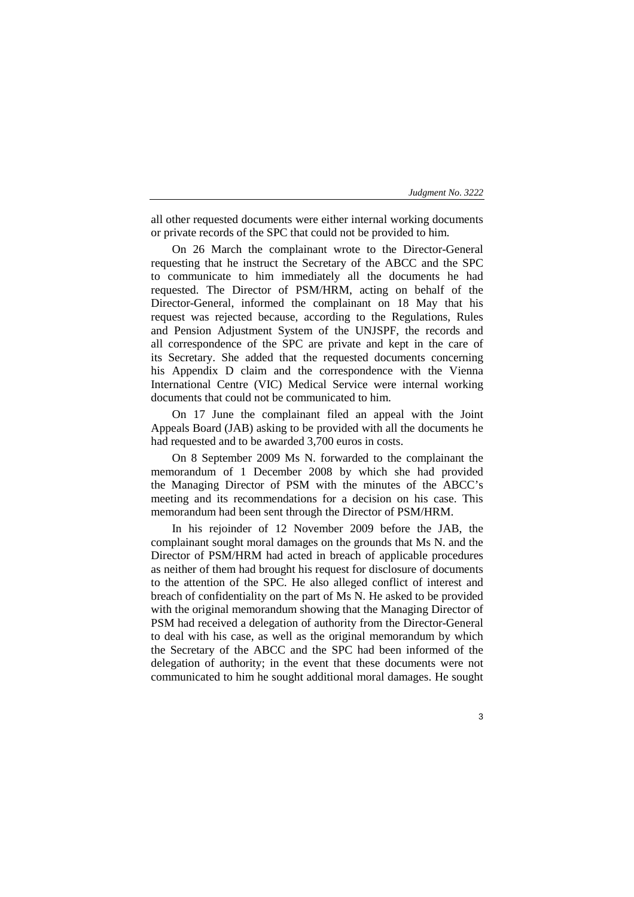all other requested documents were either internal working documents or private records of the SPC that could not be provided to him.

On 26 March the complainant wrote to the Director-General requesting that he instruct the Secretary of the ABCC and the SPC to communicate to him immediately all the documents he had requested. The Director of PSM/HRM, acting on behalf of the Director-General, informed the complainant on 18 May that his request was rejected because, according to the Regulations, Rules and Pension Adjustment System of the UNJSPF, the records and all correspondence of the SPC are private and kept in the care of its Secretary. She added that the requested documents concerning his Appendix D claim and the correspondence with the Vienna International Centre (VIC) Medical Service were internal working documents that could not be communicated to him.

On 17 June the complainant filed an appeal with the Joint Appeals Board (JAB) asking to be provided with all the documents he had requested and to be awarded 3,700 euros in costs.

On 8 September 2009 Ms N. forwarded to the complainant the memorandum of 1 December 2008 by which she had provided the Managing Director of PSM with the minutes of the ABCC's meeting and its recommendations for a decision on his case. This memorandum had been sent through the Director of PSM/HRM.

In his rejoinder of 12 November 2009 before the JAB, the complainant sought moral damages on the grounds that Ms N. and the Director of PSM/HRM had acted in breach of applicable procedures as neither of them had brought his request for disclosure of documents to the attention of the SPC. He also alleged conflict of interest and breach of confidentiality on the part of Ms N. He asked to be provided with the original memorandum showing that the Managing Director of PSM had received a delegation of authority from the Director-General to deal with his case, as well as the original memorandum by which the Secretary of the ABCC and the SPC had been informed of the delegation of authority; in the event that these documents were not communicated to him he sought additional moral damages. He sought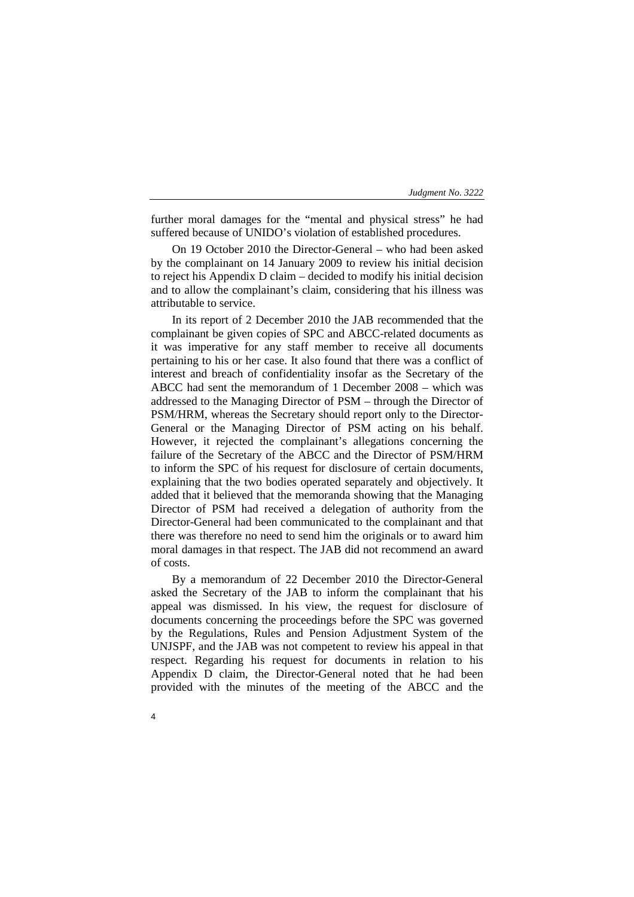further moral damages for the "mental and physical stress" he had suffered because of UNIDO's violation of established procedures.

On 19 October 2010 the Director-General – who had been asked by the complainant on 14 January 2009 to review his initial decision to reject his Appendix D claim – decided to modify his initial decision and to allow the complainant's claim, considering that his illness was attributable to service.

In its report of 2 December 2010 the JAB recommended that the complainant be given copies of SPC and ABCC-related documents as it was imperative for any staff member to receive all documents pertaining to his or her case. It also found that there was a conflict of interest and breach of confidentiality insofar as the Secretary of the ABCC had sent the memorandum of 1 December 2008 – which was addressed to the Managing Director of PSM – through the Director of PSM/HRM, whereas the Secretary should report only to the Director-General or the Managing Director of PSM acting on his behalf. However, it rejected the complainant's allegations concerning the failure of the Secretary of the ABCC and the Director of PSM/HRM to inform the SPC of his request for disclosure of certain documents, explaining that the two bodies operated separately and objectively. It added that it believed that the memoranda showing that the Managing Director of PSM had received a delegation of authority from the Director-General had been communicated to the complainant and that there was therefore no need to send him the originals or to award him moral damages in that respect. The JAB did not recommend an award of costs.

By a memorandum of 22 December 2010 the Director-General asked the Secretary of the JAB to inform the complainant that his appeal was dismissed. In his view, the request for disclosure of documents concerning the proceedings before the SPC was governed by the Regulations, Rules and Pension Adjustment System of the UNJSPF, and the JAB was not competent to review his appeal in that respect. Regarding his request for documents in relation to his Appendix D claim, the Director-General noted that he had been provided with the minutes of the meeting of the ABCC and the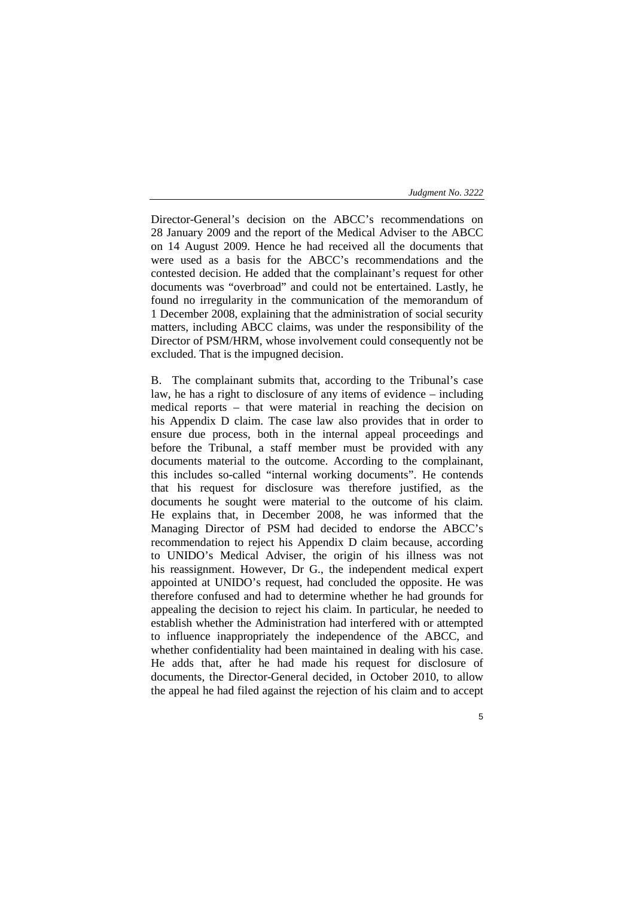Director-General's decision on the ABCC's recommendations on 28 January 2009 and the report of the Medical Adviser to the ABCC on 14 August 2009. Hence he had received all the documents that were used as a basis for the ABCC's recommendations and the contested decision. He added that the complainant's request for other documents was "overbroad" and could not be entertained. Lastly, he found no irregularity in the communication of the memorandum of 1 December 2008, explaining that the administration of social security matters, including ABCC claims, was under the responsibility of the Director of PSM/HRM, whose involvement could consequently not be excluded. That is the impugned decision.

B. The complainant submits that, according to the Tribunal's case law, he has a right to disclosure of any items of evidence – including medical reports – that were material in reaching the decision on his Appendix D claim. The case law also provides that in order to ensure due process, both in the internal appeal proceedings and before the Tribunal, a staff member must be provided with any documents material to the outcome. According to the complainant, this includes so-called "internal working documents". He contends that his request for disclosure was therefore justified, as the documents he sought were material to the outcome of his claim. He explains that, in December 2008, he was informed that the Managing Director of PSM had decided to endorse the ABCC's recommendation to reject his Appendix D claim because, according to UNIDO's Medical Adviser, the origin of his illness was not his reassignment. However, Dr G., the independent medical expert appointed at UNIDO's request, had concluded the opposite. He was therefore confused and had to determine whether he had grounds for appealing the decision to reject his claim. In particular, he needed to establish whether the Administration had interfered with or attempted to influence inappropriately the independence of the ABCC, and whether confidentiality had been maintained in dealing with his case. He adds that, after he had made his request for disclosure of documents, the Director-General decided, in October 2010, to allow the appeal he had filed against the rejection of his claim and to accept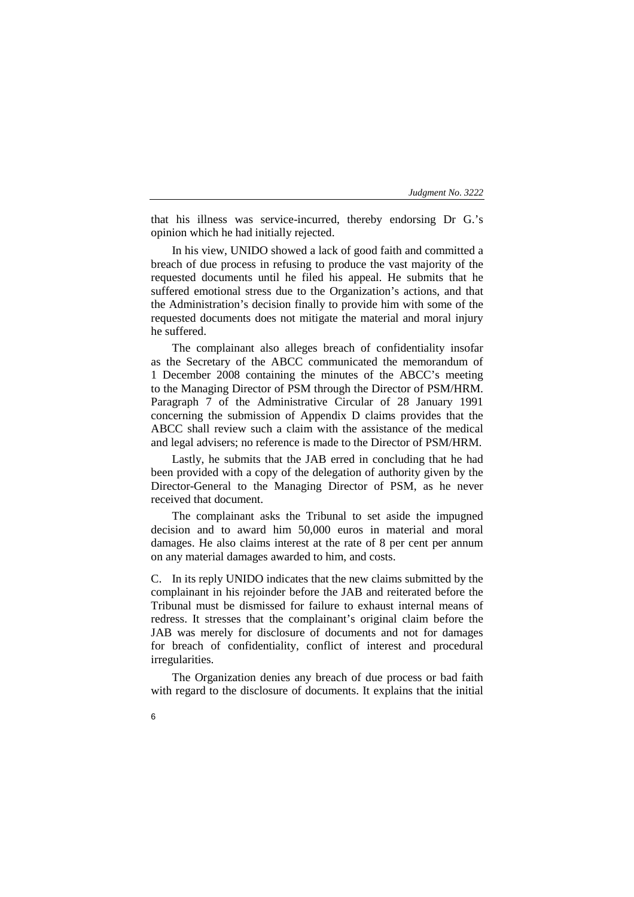that his illness was service-incurred, thereby endorsing Dr G.'s opinion which he had initially rejected.

In his view, UNIDO showed a lack of good faith and committed a breach of due process in refusing to produce the vast majority of the requested documents until he filed his appeal. He submits that he suffered emotional stress due to the Organization's actions, and that the Administration's decision finally to provide him with some of the requested documents does not mitigate the material and moral injury he suffered.

The complainant also alleges breach of confidentiality insofar as the Secretary of the ABCC communicated the memorandum of 1 December 2008 containing the minutes of the ABCC's meeting to the Managing Director of PSM through the Director of PSM/HRM. Paragraph 7 of the Administrative Circular of 28 January 1991 concerning the submission of Appendix D claims provides that the ABCC shall review such a claim with the assistance of the medical and legal advisers; no reference is made to the Director of PSM/HRM.

Lastly, he submits that the JAB erred in concluding that he had been provided with a copy of the delegation of authority given by the Director-General to the Managing Director of PSM, as he never received that document.

The complainant asks the Tribunal to set aside the impugned decision and to award him 50,000 euros in material and moral damages. He also claims interest at the rate of 8 per cent per annum on any material damages awarded to him, and costs.

C. In its reply UNIDO indicates that the new claims submitted by the complainant in his rejoinder before the JAB and reiterated before the Tribunal must be dismissed for failure to exhaust internal means of redress. It stresses that the complainant's original claim before the JAB was merely for disclosure of documents and not for damages for breach of confidentiality, conflict of interest and procedural irregularities.

The Organization denies any breach of due process or bad faith with regard to the disclosure of documents. It explains that the initial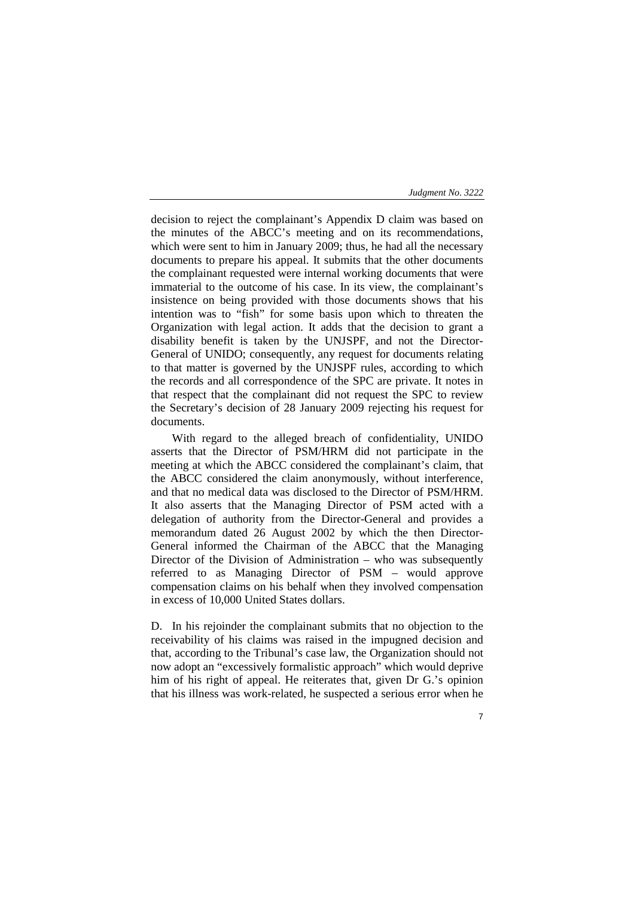decision to reject the complainant's Appendix D claim was based on the minutes of the ABCC's meeting and on its recommendations, which were sent to him in January 2009; thus, he had all the necessary documents to prepare his appeal. It submits that the other documents the complainant requested were internal working documents that were immaterial to the outcome of his case. In its view, the complainant's insistence on being provided with those documents shows that his intention was to "fish" for some basis upon which to threaten the Organization with legal action. It adds that the decision to grant a disability benefit is taken by the UNJSPF, and not the Director-General of UNIDO; consequently, any request for documents relating to that matter is governed by the UNJSPF rules, according to which the records and all correspondence of the SPC are private. It notes in that respect that the complainant did not request the SPC to review the Secretary's decision of 28 January 2009 rejecting his request for documents.

With regard to the alleged breach of confidentiality, UNIDO asserts that the Director of PSM/HRM did not participate in the meeting at which the ABCC considered the complainant's claim, that the ABCC considered the claim anonymously, without interference, and that no medical data was disclosed to the Director of PSM/HRM. It also asserts that the Managing Director of PSM acted with a delegation of authority from the Director-General and provides a memorandum dated 26 August 2002 by which the then Director-General informed the Chairman of the ABCC that the Managing Director of the Division of Administration – who was subsequently referred to as Managing Director of PSM – would approve compensation claims on his behalf when they involved compensation in excess of 10,000 United States dollars.

D. In his rejoinder the complainant submits that no objection to the receivability of his claims was raised in the impugned decision and that, according to the Tribunal's case law, the Organization should not now adopt an "excessively formalistic approach" which would deprive him of his right of appeal. He reiterates that, given Dr G.'s opinion that his illness was work-related, he suspected a serious error when he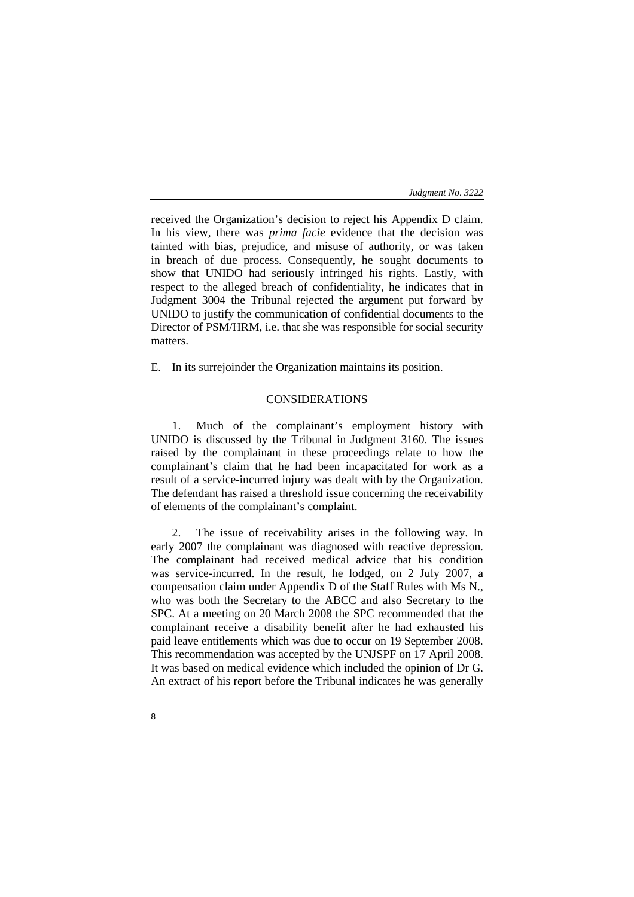received the Organization's decision to reject his Appendix D claim. In his view, there was *prima facie* evidence that the decision was tainted with bias, prejudice, and misuse of authority, or was taken in breach of due process. Consequently, he sought documents to show that UNIDO had seriously infringed his rights. Lastly, with respect to the alleged breach of confidentiality, he indicates that in Judgment 3004 the Tribunal rejected the argument put forward by UNIDO to justify the communication of confidential documents to the Director of PSM/HRM, i.e. that she was responsible for social security matters.

E. In its surrejoinder the Organization maintains its position.

# CONSIDERATIONS

1. Much of the complainant's employment history with UNIDO is discussed by the Tribunal in Judgment 3160. The issues raised by the complainant in these proceedings relate to how the complainant's claim that he had been incapacitated for work as a result of a service-incurred injury was dealt with by the Organization. The defendant has raised a threshold issue concerning the receivability of elements of the complainant's complaint.

2. The issue of receivability arises in the following way. In early 2007 the complainant was diagnosed with reactive depression. The complainant had received medical advice that his condition was service-incurred. In the result, he lodged, on 2 July 2007, a compensation claim under Appendix D of the Staff Rules with Ms N., who was both the Secretary to the ABCC and also Secretary to the SPC. At a meeting on 20 March 2008 the SPC recommended that the complainant receive a disability benefit after he had exhausted his paid leave entitlements which was due to occur on 19 September 2008. This recommendation was accepted by the UNJSPF on 17 April 2008. It was based on medical evidence which included the opinion of Dr G. An extract of his report before the Tribunal indicates he was generally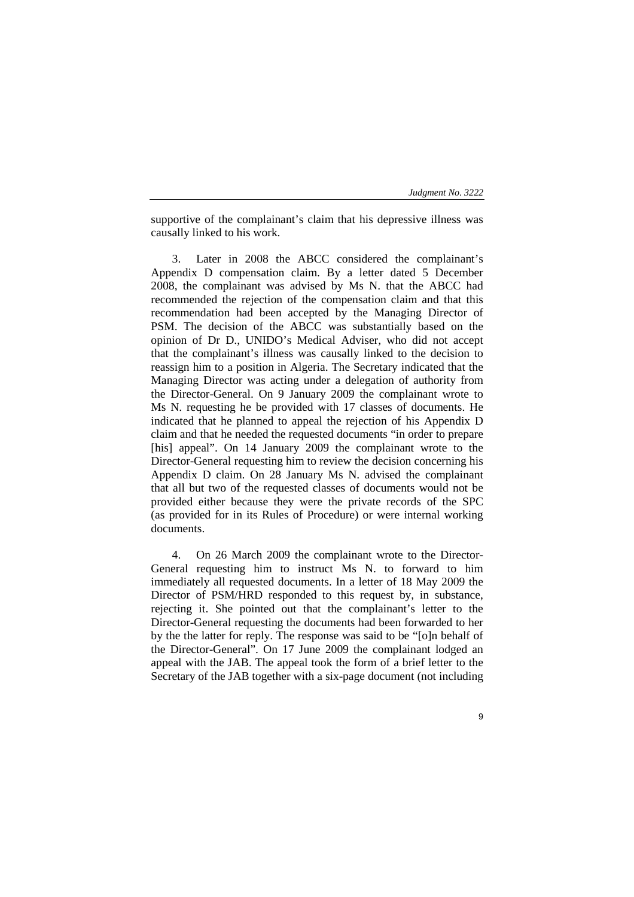supportive of the complainant's claim that his depressive illness was causally linked to his work.

3. Later in 2008 the ABCC considered the complainant's Appendix D compensation claim. By a letter dated 5 December 2008, the complainant was advised by Ms N. that the ABCC had recommended the rejection of the compensation claim and that this recommendation had been accepted by the Managing Director of PSM. The decision of the ABCC was substantially based on the opinion of Dr D., UNIDO's Medical Adviser, who did not accept that the complainant's illness was causally linked to the decision to reassign him to a position in Algeria. The Secretary indicated that the Managing Director was acting under a delegation of authority from the Director-General. On 9 January 2009 the complainant wrote to Ms N. requesting he be provided with 17 classes of documents. He indicated that he planned to appeal the rejection of his Appendix D claim and that he needed the requested documents "in order to prepare [his] appeal". On 14 January 2009 the complainant wrote to the Director-General requesting him to review the decision concerning his Appendix D claim. On 28 January Ms N. advised the complainant that all but two of the requested classes of documents would not be provided either because they were the private records of the SPC (as provided for in its Rules of Procedure) or were internal working documents.

4. On 26 March 2009 the complainant wrote to the Director-General requesting him to instruct Ms N. to forward to him immediately all requested documents. In a letter of 18 May 2009 the Director of PSM/HRD responded to this request by, in substance, rejecting it. She pointed out that the complainant's letter to the Director-General requesting the documents had been forwarded to her by the the latter for reply. The response was said to be "[o]n behalf of the Director-General". On 17 June 2009 the complainant lodged an appeal with the JAB. The appeal took the form of a brief letter to the Secretary of the JAB together with a six-page document (not including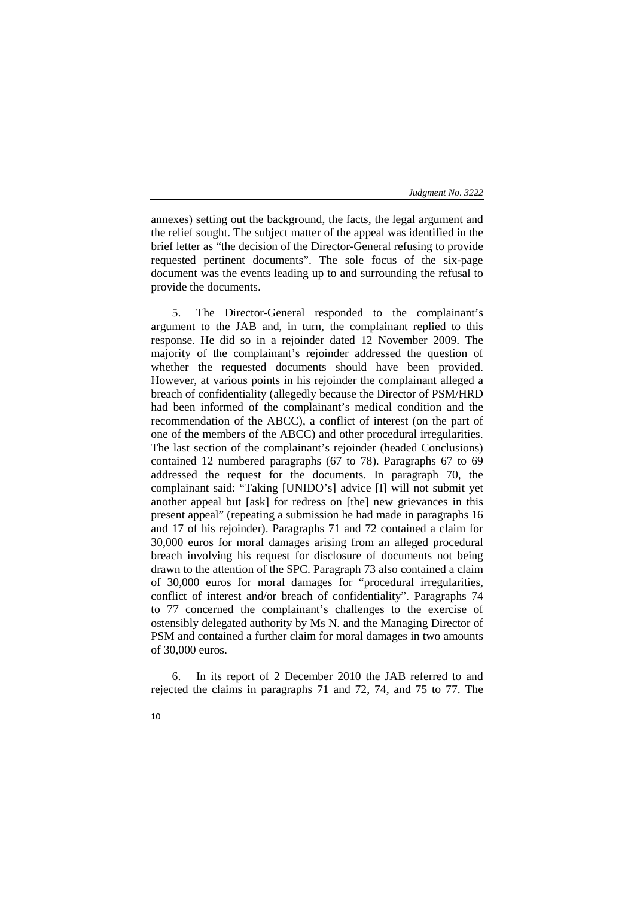annexes) setting out the background, the facts, the legal argument and the relief sought. The subject matter of the appeal was identified in the brief letter as "the decision of the Director-General refusing to provide requested pertinent documents". The sole focus of the six-page document was the events leading up to and surrounding the refusal to provide the documents.

5. The Director-General responded to the complainant's argument to the JAB and, in turn, the complainant replied to this response. He did so in a rejoinder dated 12 November 2009. The majority of the complainant's rejoinder addressed the question of whether the requested documents should have been provided. However, at various points in his rejoinder the complainant alleged a breach of confidentiality (allegedly because the Director of PSM/HRD had been informed of the complainant's medical condition and the recommendation of the ABCC), a conflict of interest (on the part of one of the members of the ABCC) and other procedural irregularities. The last section of the complainant's rejoinder (headed Conclusions) contained 12 numbered paragraphs (67 to 78). Paragraphs 67 to 69 addressed the request for the documents. In paragraph 70, the complainant said: "Taking [UNIDO's] advice [I] will not submit yet another appeal but [ask] for redress on [the] new grievances in this present appeal" (repeating a submission he had made in paragraphs 16 and 17 of his rejoinder). Paragraphs 71 and 72 contained a claim for 30,000 euros for moral damages arising from an alleged procedural breach involving his request for disclosure of documents not being drawn to the attention of the SPC. Paragraph 73 also contained a claim of 30,000 euros for moral damages for "procedural irregularities, conflict of interest and/or breach of confidentiality". Paragraphs 74 to 77 concerned the complainant's challenges to the exercise of ostensibly delegated authority by Ms N. and the Managing Director of PSM and contained a further claim for moral damages in two amounts of 30,000 euros.

6. In its report of 2 December 2010 the JAB referred to and rejected the claims in paragraphs 71 and 72, 74, and 75 to 77. The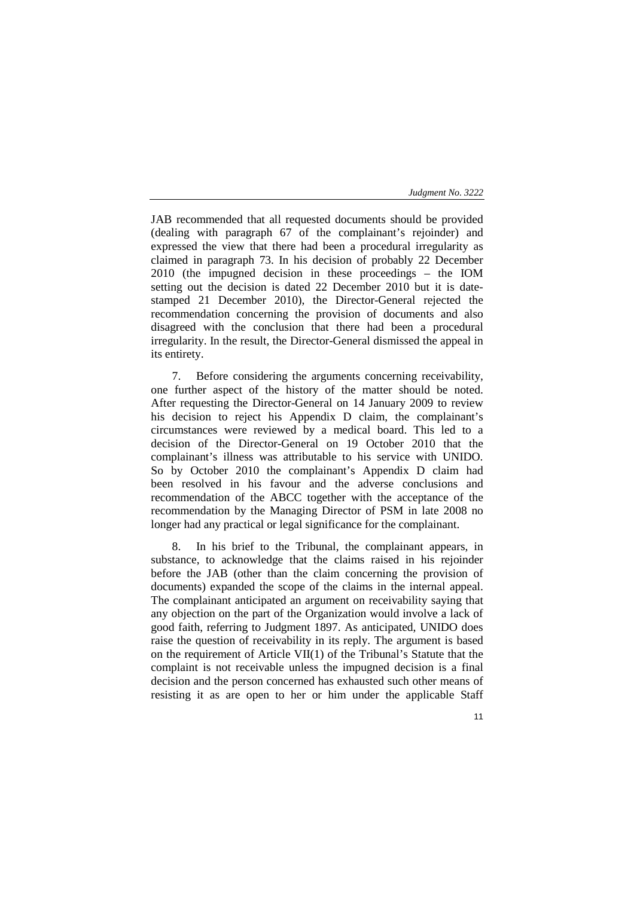JAB recommended that all requested documents should be provided (dealing with paragraph 67 of the complainant's rejoinder) and expressed the view that there had been a procedural irregularity as claimed in paragraph 73. In his decision of probably 22 December 2010 (the impugned decision in these proceedings – the IOM setting out the decision is dated 22 December 2010 but it is datestamped 21 December 2010), the Director-General rejected the recommendation concerning the provision of documents and also disagreed with the conclusion that there had been a procedural irregularity. In the result, the Director-General dismissed the appeal in its entirety.

7. Before considering the arguments concerning receivability, one further aspect of the history of the matter should be noted. After requesting the Director-General on 14 January 2009 to review his decision to reject his Appendix D claim, the complainant's circumstances were reviewed by a medical board. This led to a decision of the Director-General on 19 October 2010 that the complainant's illness was attributable to his service with UNIDO. So by October 2010 the complainant's Appendix D claim had been resolved in his favour and the adverse conclusions and recommendation of the ABCC together with the acceptance of the recommendation by the Managing Director of PSM in late 2008 no longer had any practical or legal significance for the complainant.

In his brief to the Tribunal, the complainant appears, in substance, to acknowledge that the claims raised in his rejoinder before the JAB (other than the claim concerning the provision of documents) expanded the scope of the claims in the internal appeal. The complainant anticipated an argument on receivability saying that any objection on the part of the Organization would involve a lack of good faith, referring to Judgment 1897. As anticipated, UNIDO does raise the question of receivability in its reply. The argument is based on the requirement of Article VII(1) of the Tribunal's Statute that the complaint is not receivable unless the impugned decision is a final decision and the person concerned has exhausted such other means of resisting it as are open to her or him under the applicable Staff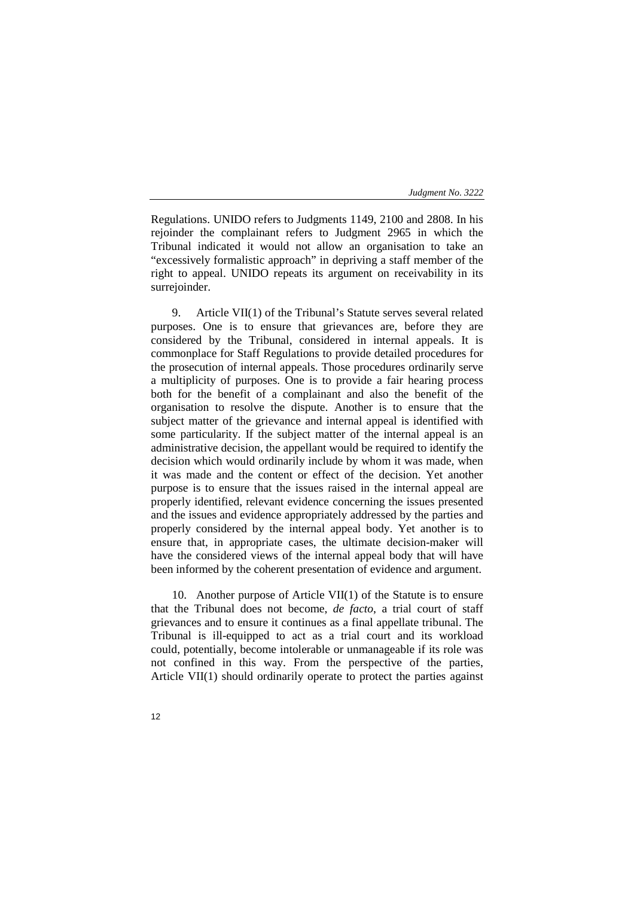Regulations. UNIDO refers to Judgments 1149, 2100 and 2808. In his rejoinder the complainant refers to Judgment 2965 in which the Tribunal indicated it would not allow an organisation to take an "excessively formalistic approach" in depriving a staff member of the right to appeal. UNIDO repeats its argument on receivability in its surrejoinder.

9. Article VII(1) of the Tribunal's Statute serves several related purposes. One is to ensure that grievances are, before they are considered by the Tribunal, considered in internal appeals. It is commonplace for Staff Regulations to provide detailed procedures for the prosecution of internal appeals. Those procedures ordinarily serve a multiplicity of purposes. One is to provide a fair hearing process both for the benefit of a complainant and also the benefit of the organisation to resolve the dispute. Another is to ensure that the subject matter of the grievance and internal appeal is identified with some particularity. If the subject matter of the internal appeal is an administrative decision, the appellant would be required to identify the decision which would ordinarily include by whom it was made, when it was made and the content or effect of the decision. Yet another purpose is to ensure that the issues raised in the internal appeal are properly identified, relevant evidence concerning the issues presented and the issues and evidence appropriately addressed by the parties and properly considered by the internal appeal body. Yet another is to ensure that, in appropriate cases, the ultimate decision-maker will have the considered views of the internal appeal body that will have been informed by the coherent presentation of evidence and argument.

10. Another purpose of Article VII(1) of the Statute is to ensure that the Tribunal does not become, *de facto*, a trial court of staff grievances and to ensure it continues as a final appellate tribunal. The Tribunal is ill-equipped to act as a trial court and its workload could, potentially, become intolerable or unmanageable if its role was not confined in this way. From the perspective of the parties, Article VII(1) should ordinarily operate to protect the parties against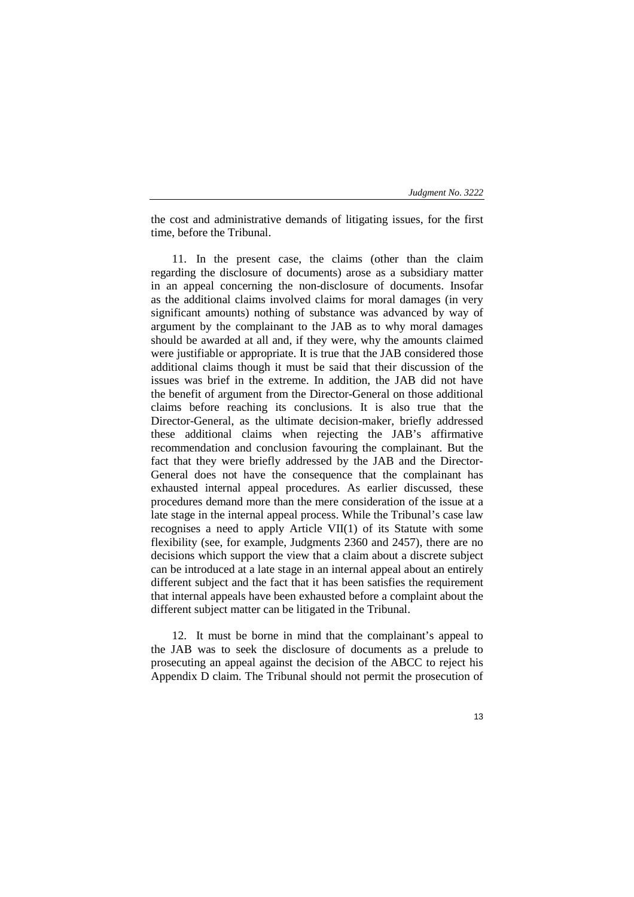| Judgment No. 3222 |  |
|-------------------|--|
|-------------------|--|

the cost and administrative demands of litigating issues, for the first time, before the Tribunal.

11. In the present case, the claims (other than the claim regarding the disclosure of documents) arose as a subsidiary matter in an appeal concerning the non-disclosure of documents. Insofar as the additional claims involved claims for moral damages (in very significant amounts) nothing of substance was advanced by way of argument by the complainant to the JAB as to why moral damages should be awarded at all and, if they were, why the amounts claimed were justifiable or appropriate. It is true that the JAB considered those additional claims though it must be said that their discussion of the issues was brief in the extreme. In addition, the JAB did not have the benefit of argument from the Director-General on those additional claims before reaching its conclusions. It is also true that the Director-General, as the ultimate decision-maker, briefly addressed these additional claims when rejecting the JAB's affirmative recommendation and conclusion favouring the complainant. But the fact that they were briefly addressed by the JAB and the Director-General does not have the consequence that the complainant has exhausted internal appeal procedures. As earlier discussed, these procedures demand more than the mere consideration of the issue at a late stage in the internal appeal process. While the Tribunal's case law recognises a need to apply Article VII(1) of its Statute with some flexibility (see, for example, Judgments 2360 and 2457), there are no decisions which support the view that a claim about a discrete subject can be introduced at a late stage in an internal appeal about an entirely different subject and the fact that it has been satisfies the requirement that internal appeals have been exhausted before a complaint about the different subject matter can be litigated in the Tribunal.

12. It must be borne in mind that the complainant's appeal to the JAB was to seek the disclosure of documents as a prelude to prosecuting an appeal against the decision of the ABCC to reject his Appendix D claim. The Tribunal should not permit the prosecution of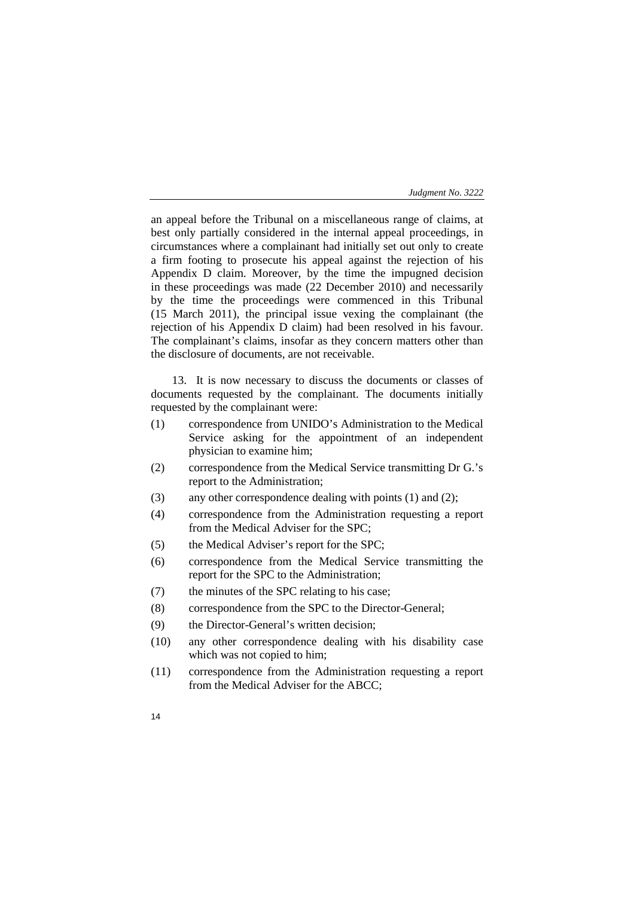an appeal before the Tribunal on a miscellaneous range of claims, at best only partially considered in the internal appeal proceedings, in circumstances where a complainant had initially set out only to create a firm footing to prosecute his appeal against the rejection of his Appendix D claim. Moreover, by the time the impugned decision in these proceedings was made (22 December 2010) and necessarily by the time the proceedings were commenced in this Tribunal (15 March 2011), the principal issue vexing the complainant (the rejection of his Appendix D claim) had been resolved in his favour. The complainant's claims, insofar as they concern matters other than the disclosure of documents, are not receivable.

13. It is now necessary to discuss the documents or classes of documents requested by the complainant. The documents initially requested by the complainant were:

- (1) correspondence from UNIDO's Administration to the Medical Service asking for the appointment of an independent physician to examine him;
- (2) correspondence from the Medical Service transmitting Dr G.'s report to the Administration;
- (3) any other correspondence dealing with points (1) and (2);
- (4) correspondence from the Administration requesting a report from the Medical Adviser for the SPC;
- (5) the Medical Adviser's report for the SPC;
- (6) correspondence from the Medical Service transmitting the report for the SPC to the Administration;
- (7) the minutes of the SPC relating to his case;
- (8) correspondence from the SPC to the Director-General;
- (9) the Director-General's written decision;
- (10) any other correspondence dealing with his disability case which was not copied to him;
- (11) correspondence from the Administration requesting a report from the Medical Adviser for the ABCC;
- 14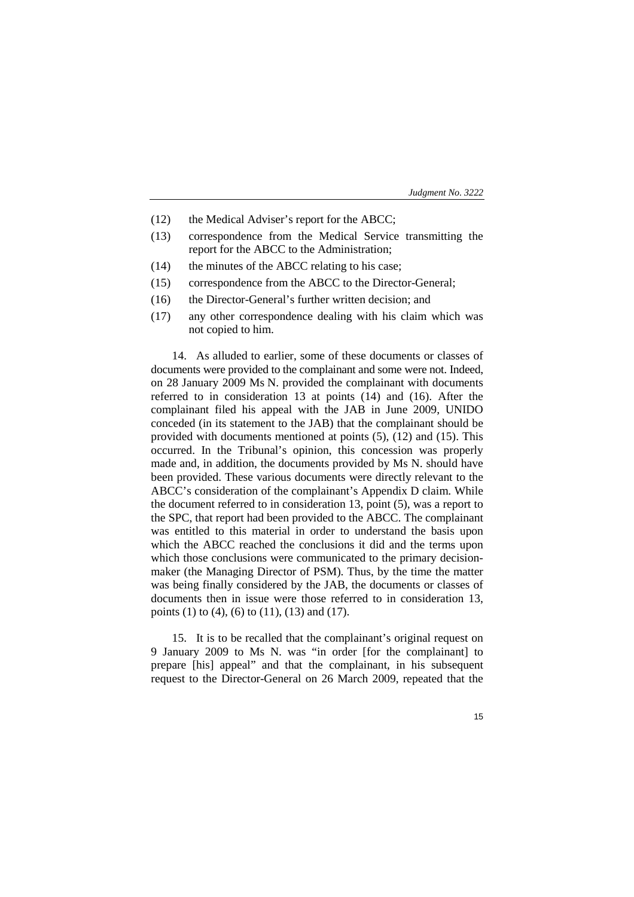| Judgment No. 3222 |  |  |
|-------------------|--|--|
|-------------------|--|--|

- (12) the Medical Adviser's report for the ABCC;
- (13) correspondence from the Medical Service transmitting the report for the ABCC to the Administration;
- (14) the minutes of the ABCC relating to his case;
- (15) correspondence from the ABCC to the Director-General;
- (16) the Director-General's further written decision; and
- (17) any other correspondence dealing with his claim which was not copied to him.

14. As alluded to earlier, some of these documents or classes of documents were provided to the complainant and some were not. Indeed, on 28 January 2009 Ms N. provided the complainant with documents referred to in consideration 13 at points (14) and (16). After the complainant filed his appeal with the JAB in June 2009, UNIDO conceded (in its statement to the JAB) that the complainant should be provided with documents mentioned at points (5), (12) and (15). This occurred. In the Tribunal's opinion, this concession was properly made and, in addition, the documents provided by Ms N. should have been provided. These various documents were directly relevant to the ABCC's consideration of the complainant's Appendix D claim. While the document referred to in consideration 13, point (5), was a report to the SPC, that report had been provided to the ABCC. The complainant was entitled to this material in order to understand the basis upon which the ABCC reached the conclusions it did and the terms upon which those conclusions were communicated to the primary decisionmaker (the Managing Director of PSM). Thus, by the time the matter was being finally considered by the JAB, the documents or classes of documents then in issue were those referred to in consideration 13, points (1) to (4), (6) to (11), (13) and (17).

15. It is to be recalled that the complainant's original request on 9 January 2009 to Ms N. was "in order [for the complainant] to prepare [his] appeal" and that the complainant, in his subsequent request to the Director-General on 26 March 2009, repeated that the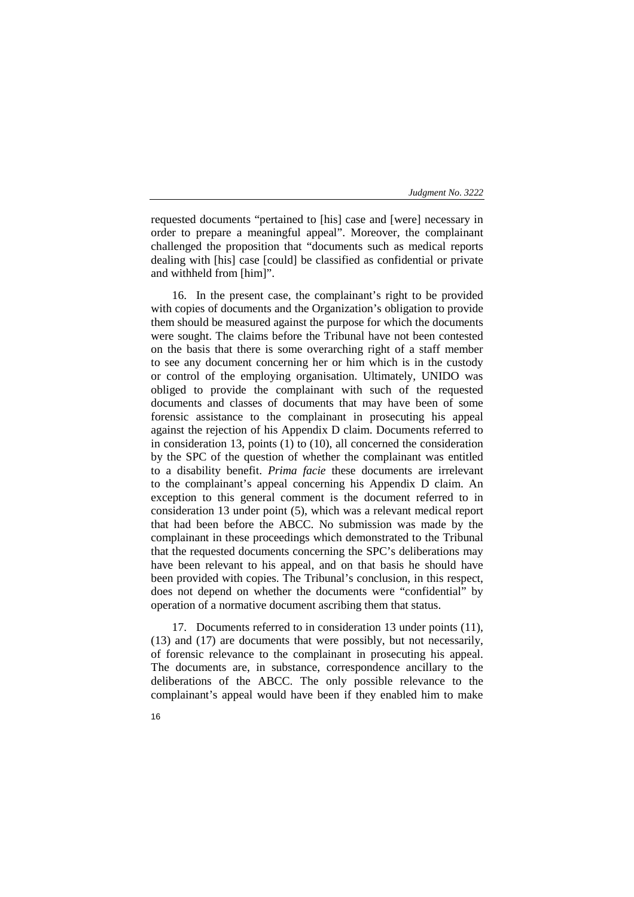requested documents "pertained to [his] case and [were] necessary in order to prepare a meaningful appeal". Moreover, the complainant challenged the proposition that "documents such as medical reports dealing with [his] case [could] be classified as confidential or private and withheld from [him]".

16. In the present case, the complainant's right to be provided with copies of documents and the Organization's obligation to provide them should be measured against the purpose for which the documents were sought. The claims before the Tribunal have not been contested on the basis that there is some overarching right of a staff member to see any document concerning her or him which is in the custody or control of the employing organisation. Ultimately, UNIDO was obliged to provide the complainant with such of the requested documents and classes of documents that may have been of some forensic assistance to the complainant in prosecuting his appeal against the rejection of his Appendix D claim. Documents referred to in consideration 13, points (1) to (10), all concerned the consideration by the SPC of the question of whether the complainant was entitled to a disability benefit. *Prima facie* these documents are irrelevant to the complainant's appeal concerning his Appendix D claim. An exception to this general comment is the document referred to in consideration 13 under point (5), which was a relevant medical report that had been before the ABCC. No submission was made by the complainant in these proceedings which demonstrated to the Tribunal that the requested documents concerning the SPC's deliberations may have been relevant to his appeal, and on that basis he should have been provided with copies. The Tribunal's conclusion, in this respect, does not depend on whether the documents were "confidential" by operation of a normative document ascribing them that status.

17. Documents referred to in consideration 13 under points (11), (13) and (17) are documents that were possibly, but not necessarily, of forensic relevance to the complainant in prosecuting his appeal. The documents are, in substance, correspondence ancillary to the deliberations of the ABCC. The only possible relevance to the complainant's appeal would have been if they enabled him to make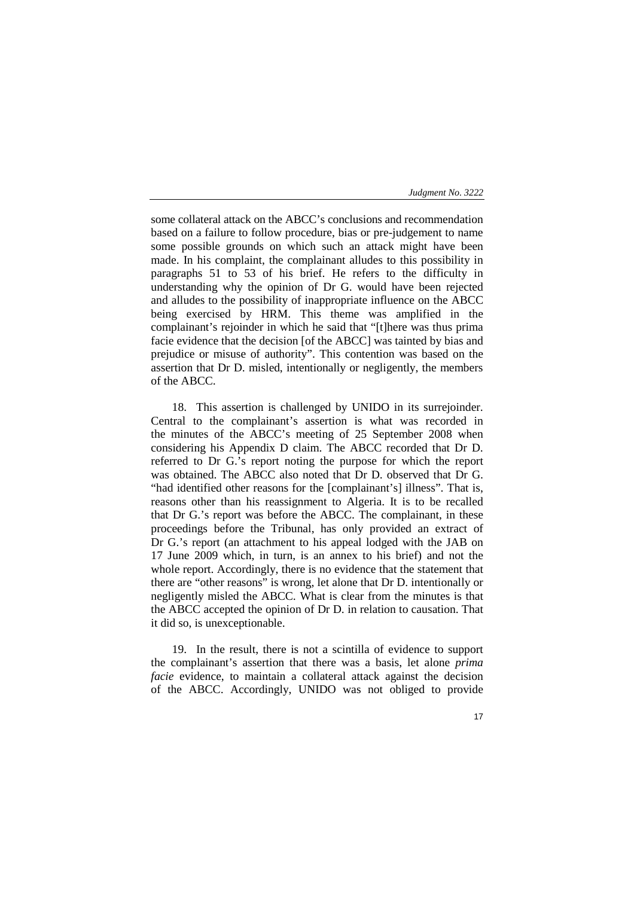some collateral attack on the ABCC's conclusions and recommendation based on a failure to follow procedure, bias or pre-judgement to name some possible grounds on which such an attack might have been made. In his complaint, the complainant alludes to this possibility in paragraphs 51 to 53 of his brief. He refers to the difficulty in understanding why the opinion of Dr G. would have been rejected and alludes to the possibility of inappropriate influence on the ABCC being exercised by HRM. This theme was amplified in the complainant's rejoinder in which he said that "[t]here was thus prima facie evidence that the decision [of the ABCC] was tainted by bias and prejudice or misuse of authority". This contention was based on the assertion that Dr D. misled, intentionally or negligently, the members of the ABCC.

18. This assertion is challenged by UNIDO in its surrejoinder. Central to the complainant's assertion is what was recorded in the minutes of the ABCC's meeting of 25 September 2008 when considering his Appendix D claim. The ABCC recorded that Dr D. referred to Dr G.'s report noting the purpose for which the report was obtained. The ABCC also noted that Dr D. observed that Dr G. "had identified other reasons for the [complainant's] illness". That is, reasons other than his reassignment to Algeria. It is to be recalled that Dr G.'s report was before the ABCC. The complainant, in these proceedings before the Tribunal, has only provided an extract of Dr G.'s report (an attachment to his appeal lodged with the JAB on 17 June 2009 which, in turn, is an annex to his brief) and not the whole report. Accordingly, there is no evidence that the statement that there are "other reasons" is wrong, let alone that Dr D. intentionally or negligently misled the ABCC. What is clear from the minutes is that the ABCC accepted the opinion of Dr D. in relation to causation. That it did so, is unexceptionable.

19. In the result, there is not a scintilla of evidence to support the complainant's assertion that there was a basis, let alone *prima facie* evidence, to maintain a collateral attack against the decision of the ABCC. Accordingly, UNIDO was not obliged to provide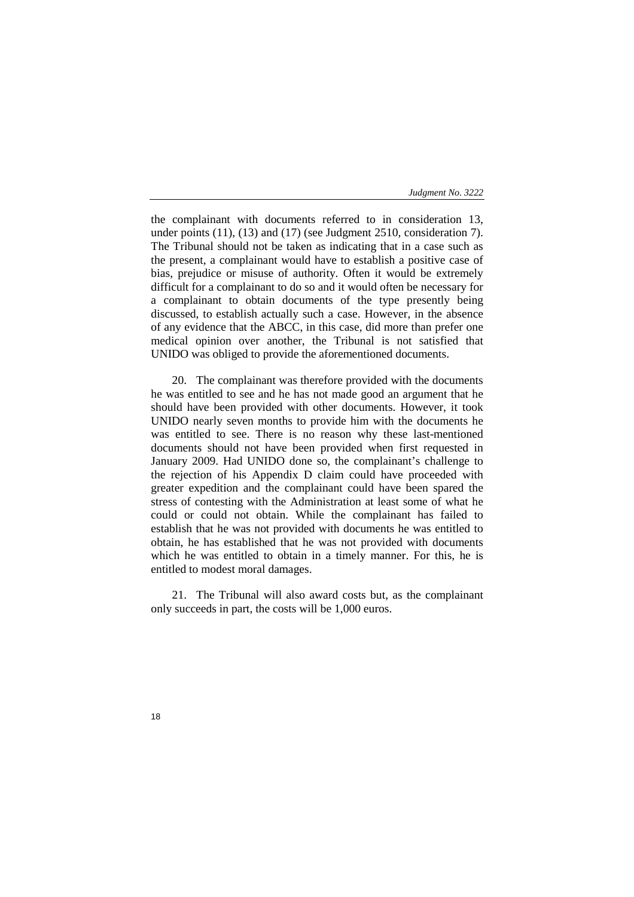the complainant with documents referred to in consideration 13, under points (11), (13) and (17) (see Judgment 2510, consideration 7). The Tribunal should not be taken as indicating that in a case such as the present, a complainant would have to establish a positive case of bias, prejudice or misuse of authority. Often it would be extremely difficult for a complainant to do so and it would often be necessary for a complainant to obtain documents of the type presently being discussed, to establish actually such a case. However, in the absence of any evidence that the ABCC, in this case, did more than prefer one medical opinion over another, the Tribunal is not satisfied that UNIDO was obliged to provide the aforementioned documents.

20. The complainant was therefore provided with the documents he was entitled to see and he has not made good an argument that he should have been provided with other documents. However, it took UNIDO nearly seven months to provide him with the documents he was entitled to see. There is no reason why these last-mentioned documents should not have been provided when first requested in January 2009. Had UNIDO done so, the complainant's challenge to the rejection of his Appendix D claim could have proceeded with greater expedition and the complainant could have been spared the stress of contesting with the Administration at least some of what he could or could not obtain. While the complainant has failed to establish that he was not provided with documents he was entitled to obtain, he has established that he was not provided with documents which he was entitled to obtain in a timely manner. For this, he is entitled to modest moral damages.

21. The Tribunal will also award costs but, as the complainant only succeeds in part, the costs will be 1,000 euros.